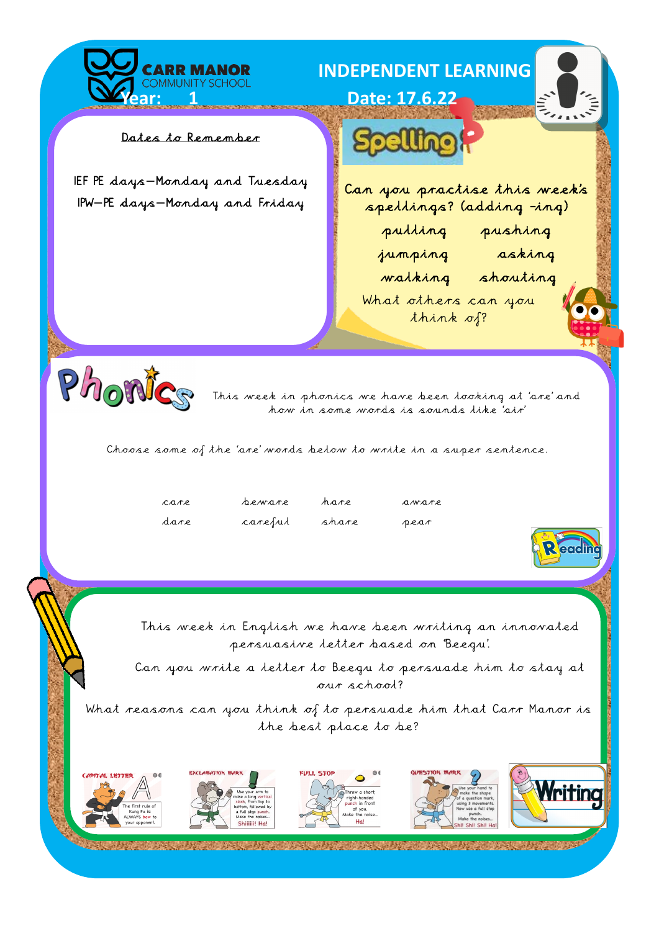